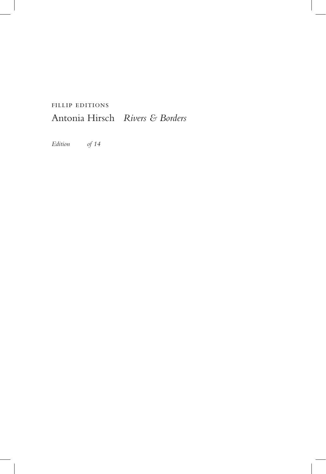## fillip editions Antonia Hirsch *Rivers & Borders*

*Edition of 14*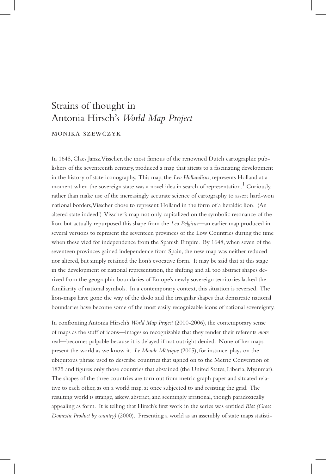## Strains of thought in Antonia Hirsch's *World Map Project* monika szewczyk

In 1648, Claes Jansz.Visscher, the most famous of the renowned Dutch cartographic publishers of the seventeenth century, produced a map that attests to a fascinating development in the history of state iconography. This map, the *Leo Hollandicus*, represents Holland at a moment when the sovereign state was a novel idea in search of representation.<sup>1</sup> Curiously, rather than make use of the increasingly accurate science of cartography to assert hard-won national borders, Visscher chose to represent Holland in the form of a heraldic lion. (An altered state indeed!) Visscher's map not only capitalized on the symbolic resonance of the lion, but actually repurposed this shape from the *Leo Belgicus—*an earlier map produced in several versions to represent the seventeen provinces of the Low Countries during the time when these vied for independence from the Spanish Empire. By 1648, when seven of the seventeen provinces gained independence from Spain, the new map was neither reduced nor altered, but simply retained the lion's evocative form. It may be said that at this stage in the development of national representation, the shifting and all too abstract shapes derived from the geographic boundaries of Europe's newly sovereign territories lacked the familiarity of national symbols. In a contemporary context, this situation is reversed. The lion-maps have gone the way of the dodo and the irregular shapes that demarcate national boundaries have become some of the most easily recognizable icons of national sovereignty.

In confronting Antonia Hirsch's *World Map Project* (2000-2006), the contemporary sense of maps as the stuff of icons—images so recognizable that they render their referents *more* real—becomes palpable because it is delayed if not outright denied. None of her maps present the world as we know it. *Le Monde Métrique* (2005), for instance, plays on the ubiquitous phrase used to describe countries that signed on to the Metric Convention of 1875 and figures only those countries that abstained (the United States, Liberia, Myanmar). The shapes of the three countries are torn out from metric graph paper and situated relative to each other, as on a world map, at once subjected to and resisting the grid. The resulting world is strange, askew, abstract, and seemingly irrational, though paradoxically appealing as form. It is telling that Hirsch's first work in the series was entitled *Blot (Gross Domestic Product by country)* (2000). Presenting a world as an assembly of state maps statisti-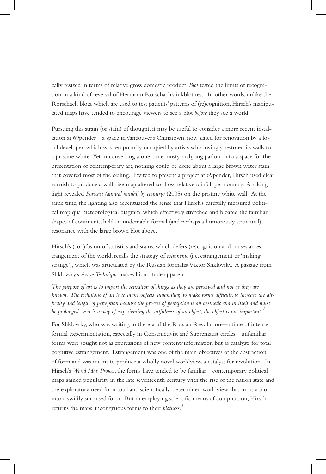cally resized in terms of relative gross domestic product, *Blot* tested the limits of recognition in a kind of reversal of Hermann Rorschach's inkblot test. In other words, unlike the Rorschach blots, which are used to test patients' patterns of (re)cognition, Hirsch's manipulated maps have tended to encourage viewers to see a blot *before* they see a world.

Pursuing this strain (or stain) of thought, it may be useful to consider a more recent installation at 69pender—a space in Vancouver's Chinatown, now slated for renovation by a local developer, which was temporarily occupied by artists who lovingly restored its walls to a pristine white. Yet in converting a one-time musty mahjong parlour into a space for the presentation of contemporary art, nothing could be done about a large brown water stain that covered most of the ceiling. Invited to present a project at 69pender, Hirsch used clear varnish to produce a wall-size map altered to show relative rainfall per country. A raking light revealed *Forecast (annual rainfall by country)* (2005) on the pristine white wall. At the same time, the lighting also accentuated the sense that Hirsch's carefully measured political map qua meteorological diagram, which effectively stretched and bloated the familiar shapes of continents, held an undeniable formal (and perhaps a humorously structural) resonance with the large brown blot above.

Hirsch's (con)fusion of statistics and stains, which defers (re)cognition and causes an estrangement of the world, recalls the strategy of *ostranenie* (i.e. estrangement or 'making strange'), which was articulated by the Russian formalist Viktor Shklovsky. A passage from Shklovsky's *Art as Technique* makes his attitude apparent:

*The purpose of art is to impart the sensation of things as they are perceived and not as they are known. The technique of art is to make objects 'unfamiliar,' to make forms difficult, to increase the difficulty and length of perception because the process of perception is an aesthetic end in itself and must be prolonged. Art is a way of experiencing the artfulness of an object; the object is not important.*<sup>2</sup>

For Shklovsky, who was writing in the era of the Russian Revolution—a time of intense formal experimentation, especially in Constructivist and Suprematist circles—unfamiliar forms were sought not as expressions of new content/information but as catalysts for total cognitive estrangement. Estrangement was one of the main objectives of the abstraction of form and was meant to produce a wholly novel worldview, a catalyst for revolution. In Hirsch's *World Map Project*, the forms have tended to be familiar—contemporary political maps gained popularity in the late seventeenth century with the rise of the nation state and the exploratory need for a total and scientifically-determined worldview that turns a blot into a swiftly surmised form. But in employing scientific means of computation, Hirsch returns the maps' incongruous forms to their *blotness*. 3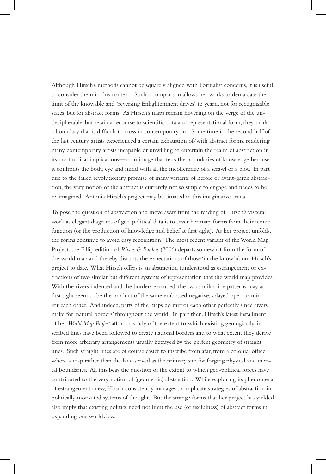Although Hirsch's methods cannot be squarely aligned with Formalist concerns, it is useful to consider them in this context. Such a comparison allows her works to demarcate the limit of the knowable and (reversing Enlightenment drives) to yearn, not for recognizable states, but for abstract forms. As Hirsch's maps remain hovering on the verge of the undecipherable, but retain a recourse to scientific data and representational form, they mark a boundary that is difficult to cross in contemporary art. Some time in the second half of the last century, artists experienced a certain exhaustion of/with abstract forms, rendering many contemporary artists incapable or unwilling to entertain the realm of abstraction in its most radical implications—as an image that tests the boundaries of knowledge because it confronts the body, eye and mind with all the incoherence of a scrawl or a blot. In part due to the failed revolutionary promise of many variants of heroic or avant-garde abstraction, the very notion of the abstract is currently not so simple to engage and needs to be re-imagined. Antonia Hirsch's project may be situated in this imaginative arena.

To pose the question of abstraction and move away from the reading of Hirsch's visceral work as elegant diagrams of geo-political data is to sever her map-forms from their iconic function (or the production of knowledge and belief at first sight). As her project unfolds, the forms continue to avoid easy recognition. The most recent variant of the World Map Project, the Fillip edition of *Rivers & Borders* (2006) departs somewhat from the form of the world map and thereby disrupts the expectations of those 'in the know' about Hirsch's project to date. What Hirsch offers is an abstraction (understood as estrangement or extraction) of two similar but different systems of representation that the world map provides. With the rivers indented and the borders extruded, the two similar line patterns may at first sight seem to be the product of the same embossed negative, splayed open to mirror each other. And indeed, parts of the maps do mirror each other perfectly since rivers make for 'natural borders' throughout the world. In part then, Hirsch's latest installment of her *World Map Project* affords a study of the extent to which existing geologically-inscribed lines have been followed to create national borders and to what extent they derive from more arbitrary arrangements usually betrayed by the perfect geometry of straight lines. Such straight lines are of course easier to inscribe from afar, from a colonial office where a map rather than the land served as the primary site for forging physical and mental boundaries. All this begs the question of the extent to which geo-political forces have contributed to the very notion of (geometric) abstraction. While exploring its phenomena of estrangement anew, Hirsch consistently manages to implicate strategies of abstraction in politically motivated systems of thought. But the strange forms that her project has yielded also imply that existing politics need not limit the use (or usefulness) of abstract forms in expanding our worldview.